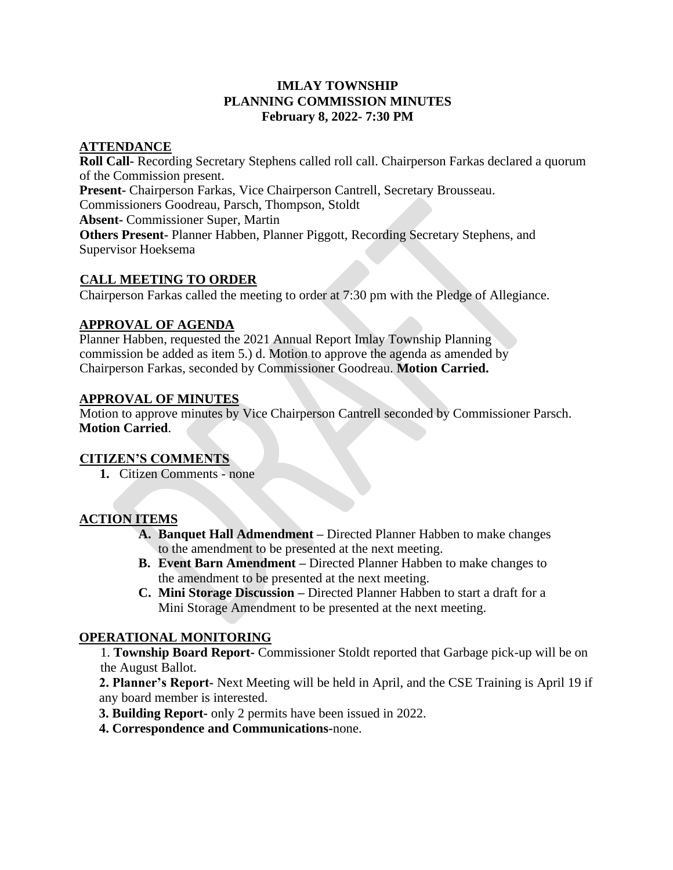## **IMLAY TOWNSHIP PLANNING COMMISSION MINUTES February 8, 2022- 7:30 PM**

## **ATTENDANCE**

**Roll Call-** Recording Secretary Stephens called roll call. Chairperson Farkas declared a quorum of the Commission present. **Present-** Chairperson Farkas, Vice Chairperson Cantrell, Secretary Brousseau. Commissioners Goodreau, Parsch, Thompson, Stoldt **Absent-** Commissioner Super, Martin **Others Present-** Planner Habben, Planner Piggott, Recording Secretary Stephens, and Supervisor Hoeksema

## **CALL MEETING TO ORDER**

Chairperson Farkas called the meeting to order at 7:30 pm with the Pledge of Allegiance.

#### **APPROVAL OF AGENDA**

Planner Habben, requested the 2021 Annual Report Imlay Township Planning commission be added as item 5.) d. Motion to approve the agenda as amended by Chairperson Farkas, seconded by Commissioner Goodreau. **Motion Carried.** 

#### **APPROVAL OF MINUTES**

Motion to approve minutes by Vice Chairperson Cantrell seconded by Commissioner Parsch. **Motion Carried**.

# **CITIZEN'S COMMENTS**

**1.** Citizen Comments - none

# **ACTION ITEMS**

- **A. Banquet Hall Admendment –** Directed Planner Habben to make changes to the amendment to be presented at the next meeting.
- **B. Event Barn Amendment –** Directed Planner Habben to make changes to the amendment to be presented at the next meeting.
- **C. Mini Storage Discussion –** Directed Planner Habben to start a draft for a Mini Storage Amendment to be presented at the next meeting.

# **OPERATIONAL MONITORING**

1. **Township Board Report-** Commissioner Stoldt reported that Garbage pick-up will be on the August Ballot.

**2. Planner's Report-** Next Meeting will be held in April, and the CSE Training is April 19 if any board member is interested.

- **3. Building Report-** only 2 permits have been issued in 2022.
- **4. Correspondence and Communications-**none.